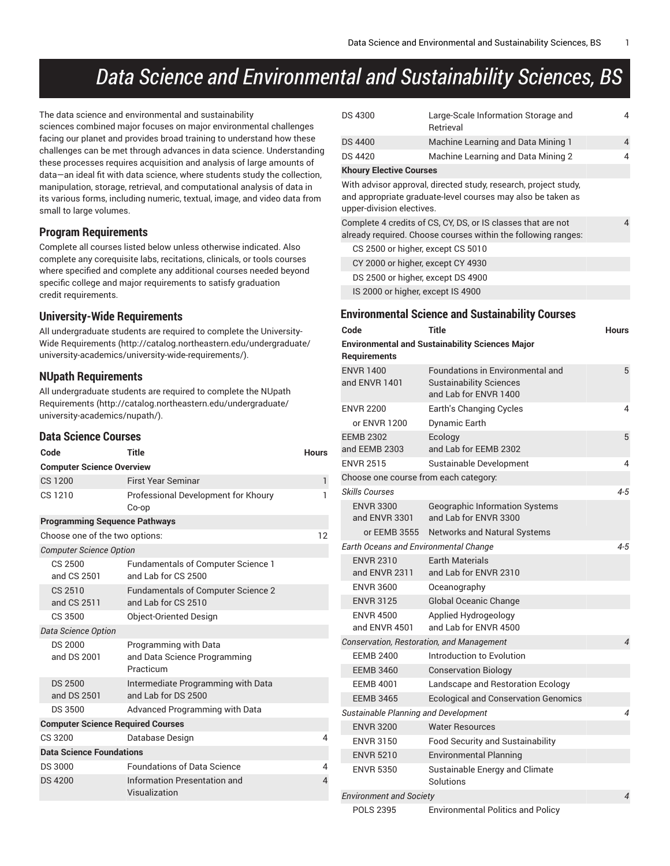# *Data Science and Environmental and Sustainability Sciences, BS*

The data science and environmental and sustainability sciences combined major focuses on major environmental challenges facing our planet and provides broad training to understand how these challenges can be met through advances in data science. Understanding these processes requires acquisition and analysis of large amounts of data—an ideal fit with data science, where students study the collection, manipulation, storage, retrieval, and computational analysis of data in its various forms, including numeric, textual, image, and video data from small to large volumes.

# **Program Requirements**

Complete all courses listed below unless otherwise indicated. Also complete any corequisite labs, recitations, clinicals, or tools courses where specified and complete any additional courses needed beyond specific college and major requirements to satisfy graduation credit requirements.

#### **University-Wide Requirements**

All undergraduate students are required to complete the [University-](http://catalog.northeastern.edu/undergraduate/university-academics/university-wide-requirements/)Wide [Requirements](http://catalog.northeastern.edu/undergraduate/university-academics/university-wide-requirements/) ([http://catalog.northeastern.edu/undergraduate/](http://catalog.northeastern.edu/undergraduate/university-academics/university-wide-requirements/) [university-academics/university-wide-requirements/\)](http://catalog.northeastern.edu/undergraduate/university-academics/university-wide-requirements/).

#### **NUpath Requirements**

All undergraduate students are required to complete the [NUpath](http://catalog.northeastern.edu/undergraduate/university-academics/nupath/) [Requirements](http://catalog.northeastern.edu/undergraduate/university-academics/nupath/) ([http://catalog.northeastern.edu/undergraduate/](http://catalog.northeastern.edu/undergraduate/university-academics/nupath/) [university-academics/nupath/](http://catalog.northeastern.edu/undergraduate/university-academics/nupath/)).

#### **Data Science Courses**

| Title<br>Code<br><b>Hours</b>            |                                                                    |    |  |  |  |  |  |
|------------------------------------------|--------------------------------------------------------------------|----|--|--|--|--|--|
|                                          | <b>Computer Science Overview</b>                                   |    |  |  |  |  |  |
| CS 1200                                  | <b>First Year Seminar</b>                                          | 1  |  |  |  |  |  |
| CS 1210                                  | Professional Development for Khoury<br>Co-op                       | 1  |  |  |  |  |  |
| <b>Programming Sequence Pathways</b>     |                                                                    |    |  |  |  |  |  |
| Choose one of the two options:           |                                                                    | 12 |  |  |  |  |  |
| <b>Computer Science Option</b>           |                                                                    |    |  |  |  |  |  |
| CS 2500<br>and CS 2501                   | <b>Fundamentals of Computer Science 1</b><br>and Lab for CS 2500   |    |  |  |  |  |  |
| CS 2510<br>and CS 2511                   | <b>Fundamentals of Computer Science 2</b><br>and Lab for CS 2510   |    |  |  |  |  |  |
| <b>Object-Oriented Design</b><br>CS 3500 |                                                                    |    |  |  |  |  |  |
| Data Science Option                      |                                                                    |    |  |  |  |  |  |
| <b>DS 2000</b><br>and DS 2001            | Programming with Data<br>and Data Science Programming<br>Practicum |    |  |  |  |  |  |
| <b>DS 2500</b><br>and DS 2501            | Intermediate Programming with Data<br>and Lab for DS 2500          |    |  |  |  |  |  |
| DS 3500                                  | Advanced Programming with Data                                     |    |  |  |  |  |  |
| <b>Computer Science Required Courses</b> |                                                                    |    |  |  |  |  |  |
| CS 3200                                  | Database Design                                                    | 4  |  |  |  |  |  |
| <b>Data Science Foundations</b>          |                                                                    |    |  |  |  |  |  |
| <b>DS 3000</b>                           | <b>Foundations of Data Science</b>                                 | 4  |  |  |  |  |  |
| <b>DS 4200</b>                           | Information Presentation and<br>Visualization                      | 4  |  |  |  |  |  |

| DS 4300                           | Large-Scale Information Storage and<br>Retrieval                                                                               | 4 |
|-----------------------------------|--------------------------------------------------------------------------------------------------------------------------------|---|
| DS 4400                           | Machine Learning and Data Mining 1                                                                                             | 4 |
| DS 4420                           | Machine Learning and Data Mining 2                                                                                             | 4 |
| <b>Khoury Elective Courses</b>    |                                                                                                                                |   |
| upper-division electives.         | With advisor approval, directed study, research, project study,<br>and appropriate graduate-level courses may also be taken as |   |
|                                   | Complete 4 credits of CS, CY, DS, or IS classes that are not<br>already required. Choose courses within the following ranges:  | 4 |
| CS 2500 or higher, except CS 5010 |                                                                                                                                |   |
| CY 2000 or higher, except CY 4930 |                                                                                                                                |   |
| DS 2500 or higher, except DS 4900 |                                                                                                                                |   |
| IS 2000 or higher, except IS 4900 |                                                                                                                                |   |

#### **Environmental Science and Sustainability Courses**

| Code                                         | Title                                                                                       | Hours                    |
|----------------------------------------------|---------------------------------------------------------------------------------------------|--------------------------|
| Requirements                                 | <b>Environmental and Sustainability Sciences Major</b>                                      |                          |
| <b>ENVR 1400</b><br>and ENVR 1401            | Foundations in Environmental and<br><b>Sustainability Sciences</b><br>and Lab for ENVR 1400 | 5                        |
| <b>ENVR 2200</b><br>or ENVR 1200             | Earth's Changing Cycles<br>Dynamic Earth                                                    | 4                        |
| <b>EEMB 2302</b><br>and EEMB 2303            | Ecology<br>and Lab for EEMB 2302                                                            | 5                        |
| <b>ENVR 2515</b>                             | Sustainable Development                                                                     | 4                        |
| Choose one course from each category:        |                                                                                             |                          |
| <b>Skills Courses</b>                        |                                                                                             | $4 - 5$                  |
| <b>ENVR 3300</b><br>and ENVR 3301            | <b>Geographic Information Systems</b><br>and Lab for ENVR 3300                              |                          |
| or EEMB 3555                                 | Networks and Natural Systems                                                                |                          |
| <b>Earth Oceans and Environmental Change</b> |                                                                                             | $4 - 5$                  |
| <b>ENVR 2310</b><br>and ENVR 2311            | <b>Farth Materials</b><br>and Lab for ENVR 2310                                             |                          |
| <b>ENVR 3600</b>                             | Oceanography                                                                                |                          |
| <b>ENVR 3125</b>                             | <b>Global Oceanic Change</b>                                                                |                          |
| <b>ENVR 4500</b><br>and ENVR 4501            | Applied Hydrogeology<br>and Lab for ENVR 4500                                               |                          |
|                                              | Conservation, Restoration, and Management                                                   | $\overline{\mathcal{A}}$ |
| <b>EEMB 2400</b>                             | Introduction to Evolution                                                                   |                          |
| <b>EEMB 3460</b>                             | <b>Conservation Biology</b>                                                                 |                          |
| <b>EEMB 4001</b>                             | Landscape and Restoration Ecology                                                           |                          |
| <b>EEMB 3465</b>                             | <b>Ecological and Conservation Genomics</b>                                                 |                          |
| Sustainable Planning and Development         |                                                                                             | $\overline{\mathcal{A}}$ |
| <b>ENVR 3200</b>                             | <b>Water Resources</b>                                                                      |                          |
| <b>ENVR 3150</b>                             | <b>Food Security and Sustainability</b>                                                     |                          |
| <b>ENVR 5210</b>                             | <b>Environmental Planning</b>                                                               |                          |
| <b>ENVR 5350</b>                             | Sustainable Energy and Climate<br>Solutions                                                 |                          |
| <b>Environment and Society</b>               |                                                                                             | $\overline{\mathcal{A}}$ |
| <b>POLS 2395</b>                             | <b>Environmental Politics and Policy</b>                                                    |                          |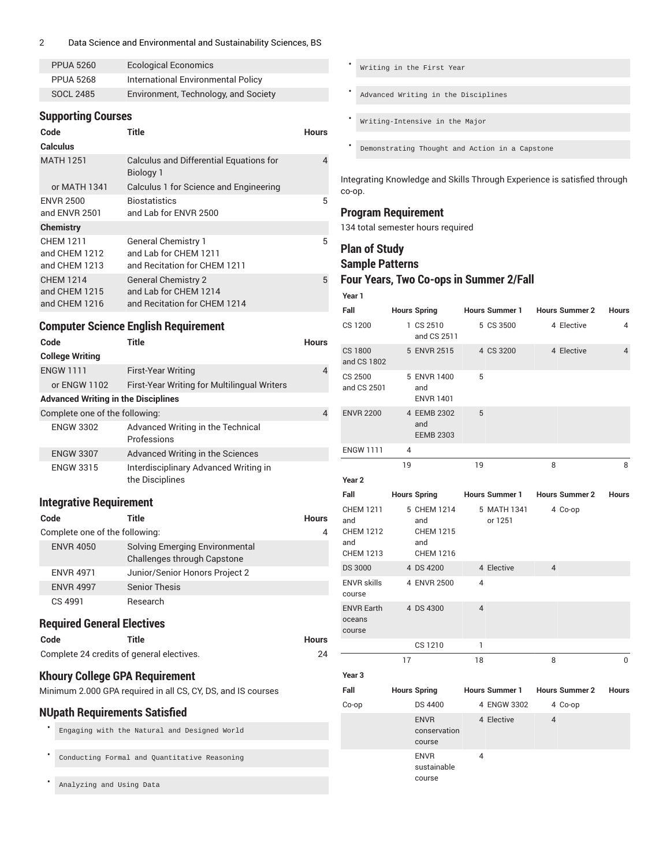#### 2 Data Science and Environmental and Sustainability Sciences, BS

| <b>PPUA 5260</b> | <b>Ecological Economics</b>          |
|------------------|--------------------------------------|
| <b>PPUA 5268</b> | International Environmental Policy   |
| SOCL 2485        | Environment, Technology, and Society |

# **Supporting Courses**

| Code<br><b>Calculus</b>                            | Title                                                                               | <b>Hours</b> |
|----------------------------------------------------|-------------------------------------------------------------------------------------|--------------|
| <b>MATH 1251</b>                                   | <b>Calculus and Differential Equations for</b><br>Biology 1                         | 4            |
| or MATH 1341                                       | Calculus 1 for Science and Engineering                                              |              |
| <b>ENVR 2500</b><br>and ENVR 2501                  | <b>Biostatistics</b><br>and Lab for ENVR 2500                                       | 5            |
| <b>Chemistry</b>                                   |                                                                                     |              |
| <b>CHEM 1211</b><br>and CHEM 1212<br>and CHEM 1213 | <b>General Chemistry 1</b><br>and Lab for CHEM 1211<br>and Recitation for CHEM 1211 | 5            |
| <b>CHEM 1214</b><br>and CHEM 1215<br>and CHEM 1216 | <b>General Chemistry 2</b><br>and Lab for CHEM 1214<br>and Recitation for CHEM 1214 | 5            |

#### **Computer Science English Requirement**

| Code                                       | Title                                                    | Hours          |
|--------------------------------------------|----------------------------------------------------------|----------------|
| <b>College Writing</b>                     |                                                          |                |
| <b>ENGW 1111</b>                           | <b>First-Year Writing</b>                                | $\overline{4}$ |
| or ENGW 1102                               | First-Year Writing for Multilingual Writers              |                |
| <b>Advanced Writing in the Disciplines</b> |                                                          |                |
| Complete one of the following:             |                                                          | 4              |
| <b>ENGW 3302</b>                           | Advanced Writing in the Technical<br>Professions         |                |
| <b>ENGW 3307</b>                           | Advanced Writing in the Sciences                         |                |
| <b>ENGW 3315</b>                           | Interdisciplinary Advanced Writing in<br>the Disciplines |                |

# **Integrative Requirement**

| Code                           | Title                                                         | <b>Hours</b> |
|--------------------------------|---------------------------------------------------------------|--------------|
| Complete one of the following: |                                                               | 4            |
| <b>ENVR 4050</b>               | Solving Emerging Environmental<br>Challenges through Capstone |              |
| <b>ENVR 4971</b>               | Junior/Senior Honors Project 2                                |              |
| <b>ENVR 4997</b>               | <b>Senior Thesis</b>                                          |              |
| CS 4991                        | Research                                                      |              |

#### **Required General Electives**

| Code | Title                                     | <b>Hours</b> |
|------|-------------------------------------------|--------------|
|      | Complete 24 credits of general electives. | 24           |

#### **Khoury College GPA Requirement**

Minimum 2.000 GPA required in all CS, CY, DS, and IS courses

#### **NUpath Requirements Satisfied**

• Engaging with the Natural and Designed World

Conducting Formal and Quantitative Reasoning

• Analyzing and Using Data

• Writing in the First Year • Advanced Writing in the Disciplines • Writing-Intensive in the Major • Demonstrating Thought and Action in a Capstone

Integrating Knowledge and Skills Through Experience is satisfied through co-op.

# **Program Requirement**

134 total semester hours required

# **Plan of Study**

#### **Sample Patterns**

- **Four Years, Two Co-ops in Summer 2/Fall**
- **Year 1**

| Fall                                                                   |    | <b>Hours Spring</b>                                               |                | <b>Hours Summer 1</b>         |                | <b>Hours Summer 2</b> | <b>Hours</b>   |
|------------------------------------------------------------------------|----|-------------------------------------------------------------------|----------------|-------------------------------|----------------|-----------------------|----------------|
| CS 1200                                                                |    | 1 CS 2510<br>and CS 2511                                          |                | 5 CS 3500                     |                | 4 Elective            | 4              |
| <b>CS 1800</b><br>and CS 1802                                          |    | 5 ENVR 2515                                                       |                | 4 CS 3200                     |                | 4 Elective            | $\overline{4}$ |
| CS 2500<br>and CS 2501                                                 |    | 5 ENVR 1400<br>and<br><b>ENVR 1401</b>                            | 5              |                               |                |                       |                |
| <b>ENVR 2200</b>                                                       |    | 4 EEMB 2302<br>and<br><b>EEMB 2303</b>                            | 5              |                               |                |                       |                |
| <b>ENGW 1111</b>                                                       | 4  |                                                                   |                |                               |                |                       |                |
|                                                                        | 19 |                                                                   | 19             |                               | 8              |                       | 8              |
| Year <sub>2</sub>                                                      |    |                                                                   |                |                               |                |                       |                |
| Fall                                                                   |    | <b>Hours Spring</b>                                               |                | Hours Summer 1 Hours Summer 2 |                |                       | <b>Hours</b>   |
| <b>CHEM 1211</b><br>and<br><b>CHEM 1212</b><br>and<br><b>CHEM 1213</b> |    | 5 CHEM 1214<br>and<br><b>CHEM 1215</b><br>and<br><b>CHEM 1216</b> |                | 5 MATH 1341<br>or 1251        |                | 4 Co-op               |                |
| <b>DS 3000</b>                                                         |    | 4 DS 4200                                                         |                | 4 Elective                    | $\overline{4}$ |                       |                |
| <b>ENVR skills</b><br>course                                           |    | 4 ENVR 2500                                                       | 4              |                               |                |                       |                |
| <b>ENVR Earth</b><br>oceans<br>course                                  |    | 4 DS 4300                                                         | $\overline{4}$ |                               |                |                       |                |
|                                                                        |    | CS 1210                                                           | 1              |                               |                |                       |                |
|                                                                        | 17 |                                                                   | 18             |                               | 8              |                       | $\mathbf 0$    |
| Year <sub>3</sub>                                                      |    |                                                                   |                |                               |                |                       |                |
| Fall                                                                   |    | <b>Hours Spring</b>                                               |                | <b>Hours Summer 1</b>         |                | <b>Hours Summer 2</b> | <b>Hours</b>   |
| Co-op                                                                  |    | DS 4400                                                           |                | 4 ENGW 3302                   |                | 4 Co-op               |                |
|                                                                        |    | <b>ENVR</b><br>conservation<br>course                             |                | 4 Elective                    | $\overline{4}$ |                       |                |
|                                                                        |    | <b>ENVR</b><br>sustainable<br>course                              | 4              |                               |                |                       |                |